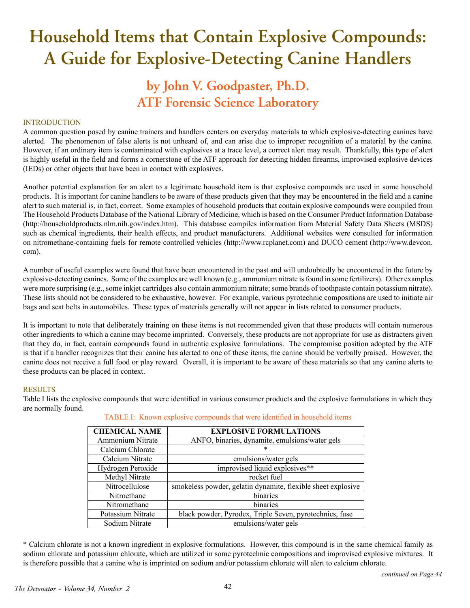# **Household Items that Contain Explosive Compounds: A Guide for Explosive-Detecting Canine Handlers**

# **by John V. Goodpaster, Ph.D. ATF Forensic Science Laboratory**

# **INTRODUCTION**

A common question posed by canine trainers and handlers centers on everyday materials to which explosive-detecting canines have alerted. The phenomenon of false alerts is not unheard of, and can arise due to improper recognition of a material by the canine. However, if an ordinary item is contaminated with explosives at a trace level, a correct alert may result. Thankfully, this type of alert is highly useful in the field and forms a cornerstone of the ATF approach for detecting hidden firearms, improvised explosive devices (IEDs) or other objects that have been in contact with explosives.

Another potential explanation for an alert to a legitimate household item is that explosive compounds are used in some household products. It is important for canine handlers to be aware of these products given that they may be encountered in the field and a canine alert to such material is, in fact, correct. Some examples of household products that contain explosive compounds were compiled from The Household Products Database of the National Library of Medicine, which is based on the Consumer Product Information Database (http://householdproducts.nlm.nih.gov/index.htm). This database compiles information from Material Safety Data Sheets (MSDS) such as chemical ingredients, their health effects, and product manufacturers. Additional websites were consulted for information on nitromethane-containing fuels for remote controlled vehicles (http://www.rcplanet.com) and DUCO cement (http://www.devcon. com).

A number of useful examples were found that have been encountered in the past and will undoubtedly be encountered in the future by explosive-detecting canines. Some of the examples are well known (e.g., ammonium nitrate is found in some fertilizers). Other examples were more surprising (e.g., some inkjet cartridges also contain ammonium nitrate; some brands of toothpaste contain potassium nitrate). These lists should not be considered to be exhaustive, however. For example, various pyrotechnic compositions are used to initiate air bags and seat belts in automobiles. These types of materials generally will not appear in lists related to consumer products.

It is important to note that deliberately training on these items is not recommended given that these products will contain numerous other ingredients to which a canine may become imprinted. Conversely, these products are not appropriate for use as distracters given that they do, in fact, contain compounds found in authentic explosive formulations. The compromise position adopted by the ATF is that if a handler recognizes that their canine has alerted to one of these items, the canine should be verbally praised. However, the canine does not receive a full food or play reward. Overall, it is important to be aware of these materials so that any canine alerts to these products can be placed in context.

#### RESULTS

Table I lists the explosive compounds that were identified in various consumer products and the explosive formulations in which they are normally found.

| <b>CHEMICAL NAME</b> | <b>EXPLOSIVE FORMULATIONS</b>                                |  |  |
|----------------------|--------------------------------------------------------------|--|--|
| Ammonium Nitrate     | ANFO, binaries, dynamite, emulsions/water gels               |  |  |
| Calcium Chlorate     | *                                                            |  |  |
| Calcium Nitrate      | emulsions/water gels                                         |  |  |
| Hydrogen Peroxide    | improvised liquid explosives**                               |  |  |
| Methyl Nitrate       | rocket fuel                                                  |  |  |
| Nitrocellulose       | smokeless powder, gelatin dynamite, flexible sheet explosive |  |  |
| Nitroethane          | binaries                                                     |  |  |
| Nitromethane         | binaries                                                     |  |  |
| Potassium Nitrate    | black powder, Pyrodex, Triple Seven, pyrotechnics, fuse      |  |  |
| Sodium Nitrate       | emulsions/water gels                                         |  |  |

TABLE I: Known explosive compounds that were identified in household items

\* Calcium chlorate is not a known ingredient in explosive formulations. However, this compound is in the same chemical family as sodium chlorate and potassium chlorate, which are utilized in some pyrotechnic compositions and improvised explosive mixtures. It is therefore possible that a canine who is imprinted on sodium and/or potassium chlorate will alert to calcium chlorate.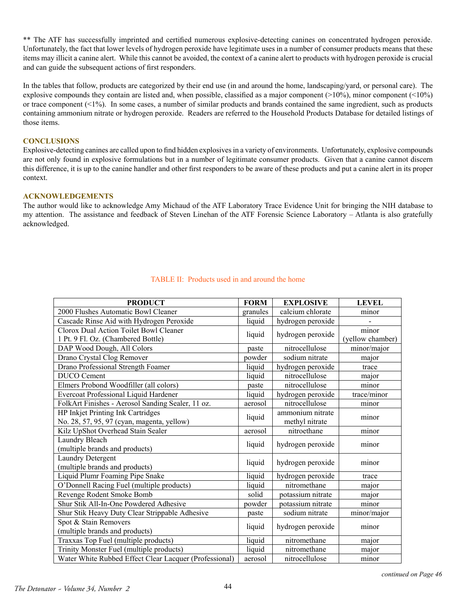\*\* The ATF has successfully imprinted and certified numerous explosive-detecting canines on concentrated hydrogen peroxide. Unfortunately, the fact that lower levels of hydrogen peroxide have legitimate uses in a number of consumer products means that these items may illicit a canine alert. While this cannot be avoided, the context of a canine alert to products with hydrogen peroxide is crucial and can guide the subsequent actions of first responders.

In the tables that follow, products are categorized by their end use (in and around the home, landscaping/yard, or personal care). The explosive compounds they contain are listed and, when possible, classified as a major component  $(210\%)$ , minor component  $(210\%)$ or trace component (<1%). In some cases, a number of similar products and brands contained the same ingredient, such as products containing ammonium nitrate or hydrogen peroxide. Readers are referred to the Household Products Database for detailed listings of those items.

# **CONCLUSIONS**

Explosive-detecting canines are called upon to find hidden explosives in a variety of environments. Unfortunately, explosive compounds are not only found in explosive formulations but in a number of legitimate consumer products. Given that a canine cannot discern this difference, it is up to the canine handler and other first responders to be aware of these products and put a canine alert in its proper context.

#### **ACKNOWLEDGEMENTS**

The author would like to acknowledge Amy Michaud of the ATF Laboratory Trace Evidence Unit for bringing the NIH database to my attention. The assistance and feedback of Steven Linehan of the ATF Forensic Science Laboratory – Atlanta is also gratefully acknowledged.

| <b>PRODUCT</b>                                                                  | <b>FORM</b> | <b>EXPLOSIVE</b>                   | <b>LEVEL</b>              |
|---------------------------------------------------------------------------------|-------------|------------------------------------|---------------------------|
| 2000 Flushes Automatic Bowl Cleaner                                             | granules    | calcium chlorate                   | minor                     |
| Cascade Rinse Aid with Hydrogen Peroxide                                        | liquid      | hydrogen peroxide                  |                           |
| Clorox Dual Action Toilet Bowl Cleaner<br>1 Pt. 9 Fl. Oz. (Chambered Bottle)    |             | hydrogen peroxide                  | minor<br>(yellow chamber) |
| DAP Wood Dough, All Colors                                                      | paste       | nitrocellulose                     | minor/major               |
| Drano Crystal Clog Remover                                                      | powder      | sodium nitrate                     | major                     |
| Drano Professional Strength Foamer                                              | liquid      | hydrogen peroxide                  | trace                     |
| <b>DUCO</b> Cement                                                              | liquid      | nitrocellulose                     | major                     |
| Elmers Probond Woodfiller (all colors)                                          | paste       | nitrocellulose                     | minor                     |
| Evercoat Professional Liquid Hardener                                           | liquid      | hydrogen peroxide                  | trace/minor               |
| FolkArt Finishes - Aerosol Sanding Sealer, 11 oz.                               | aerosol     | nitrocellulose                     | minor                     |
| HP Inkjet Printing Ink Cartridges<br>No. 28, 57, 95, 97 (cyan, magenta, yellow) | liquid      | ammonium nitrate<br>methyl nitrate | minor                     |
| Kilz UpShot Overhead Stain Sealer                                               | aerosol     | nitroethane                        | minor                     |
| Laundry Bleach<br>(multiple brands and products)                                | liquid      | hydrogen peroxide                  | minor                     |
| Laundry Detergent<br>(multiple brands and products)                             | liquid      | hydrogen peroxide                  | minor                     |
| Liquid Plumr Foaming Pipe Snake                                                 | liquid      | hydrogen peroxide                  | trace                     |
| O'Donnell Racing Fuel (multiple products)                                       | liquid      | nitromethane                       | major                     |
| Revenge Rodent Smoke Bomb                                                       | solid       | potassium nitrate                  | major                     |
| Shur Stik All-In-One Powdered Adhesive                                          | powder      | potassium nitrate                  | minor                     |
| Shur Stik Heavy Duty Clear Strippable Adhesive                                  | paste       | sodium nitrate                     | minor/major               |
| Spot & Stain Removers<br>(multiple brands and products)                         | liquid      | hydrogen peroxide                  | minor                     |
| Traxxas Top Fuel (multiple products)                                            | liquid      | nitromethane                       | major                     |
| Trinity Monster Fuel (multiple products)                                        | liquid      | nitromethane                       | major                     |
| Water White Rubbed Effect Clear Lacquer (Professional)                          | aerosol     | nitrocellulose                     | minor                     |

# TABLE II: Products used in and around the home